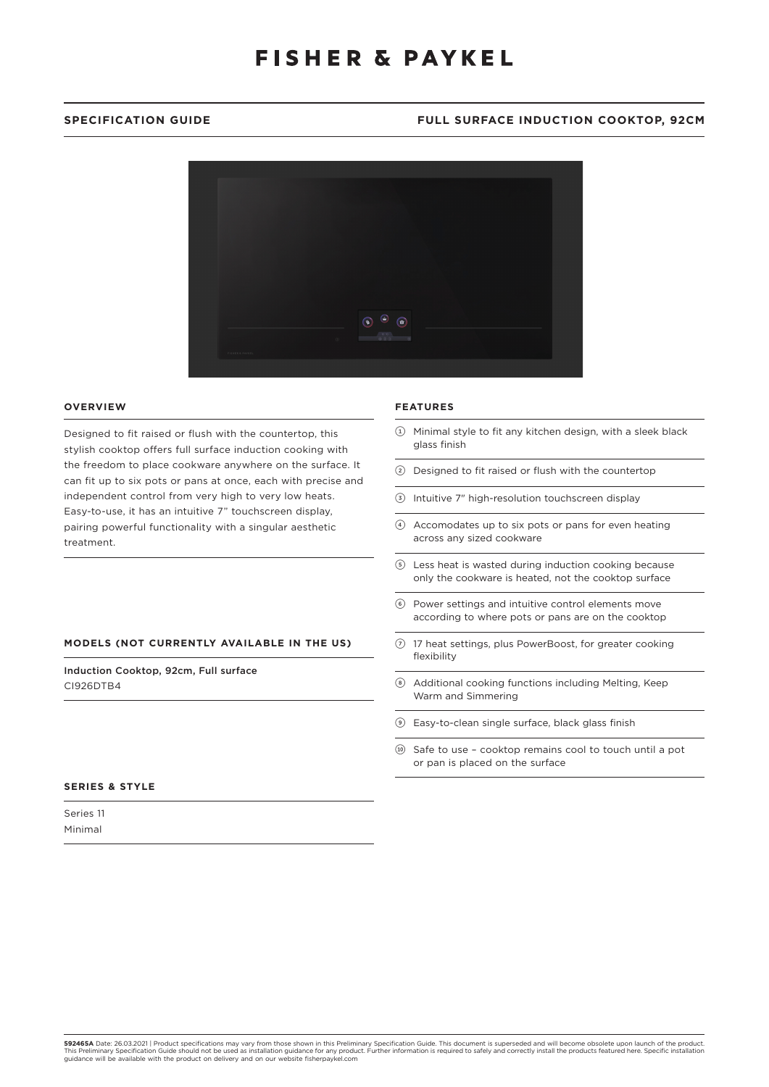# **FISHER & PAYKEL**

## **SPECIFICATION GUIDE FULL SURFACE INDUCTION COOKTOP, 92CM**



### **OVERVIEW**

Designed to fit raised or flush with the countertop, this stylish cooktop offers full surface induction cooking with the freedom to place cookware anywhere on the surface. It can fit up to six pots or pans at once, each with precise and independent control from very high to very low heats. Easy-to-use, it has an intuitive 7" touchscreen display, pairing powerful functionality with a singular aesthetic treatment.

### **MODELS (NOT CURRENTLY AVAILABLE IN THE US)**

Induction Cooktop, 92cm, Full surface CI926DTB4

## **SERIES & STYLE**

| Series 11 |  |
|-----------|--|
| Minimal   |  |

### **FEATURES**

- 1 Minimal style to fit any kitchen design, with a sleek black glass finish
- 2 Designed to fit raised or flush with the countertop
- 3 Intuitive 7" high-resolution touchscreen display
- 4 Accomodates up to six pots or pans for even heating across any sized cookware
- 5 Less heat is wasted during induction cooking because only the cookware is heated, not the cooktop surface
- 6 Power settings and intuitive control elements move according to where pots or pans are on the cooktop
- $Q$  17 heat settings, plus PowerBoost, for greater cooking flexibility
- 8 Additional cooking functions including Melting, Keep Warm and Simmering
- 9 Easy-to-clean single surface, black glass finish
- !0 Safe to use cooktop remains cool to touch until a pot or pan is placed on the surface